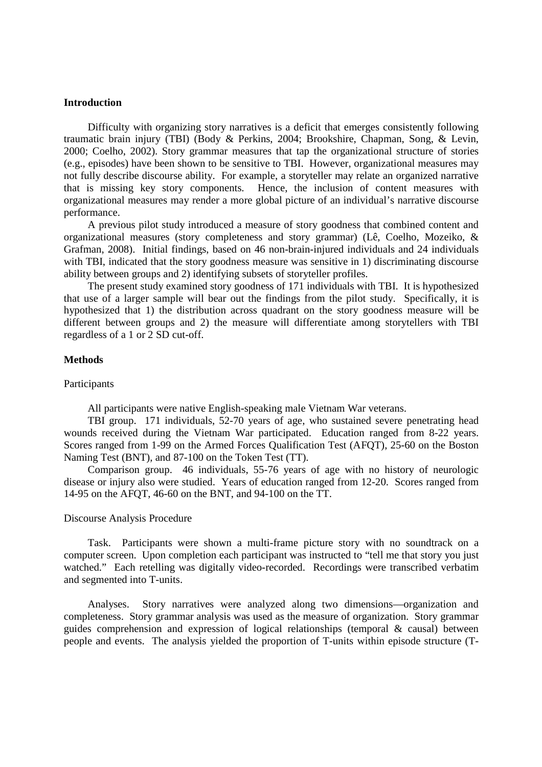## **Introduction**

Difficulty with organizing story narratives is a deficit that emerges consistently following traumatic brain injury (TBI) (Body & Perkins, 2004; Brookshire, Chapman, Song, & Levin, 2000; Coelho, 2002). Story grammar measures that tap the organizational structure of stories (e.g., episodes) have been shown to be sensitive to TBI. However, organizational measures may not fully describe discourse ability. For example, a storyteller may relate an organized narrative that is missing key story components. Hence, the inclusion of content measures with organizational measures may render a more global picture of an individual's narrative discourse performance.

A previous pilot study introduced a measure of story goodness that combined content and organizational measures (story completeness and story grammar) (Lê, Coelho, Mozeiko, & Grafman, 2008). Initial findings, based on 46 non-brain-injured individuals and 24 individuals with TBI, indicated that the story goodness measure was sensitive in 1) discriminating discourse ability between groups and 2) identifying subsets of storyteller profiles.

The present study examined story goodness of 171 individuals with TBI. It is hypothesized that use of a larger sample will bear out the findings from the pilot study. Specifically, it is hypothesized that 1) the distribution across quadrant on the story goodness measure will be different between groups and 2) the measure will differentiate among storytellers with TBI regardless of a 1 or 2 SD cut-off.

### **Methods**

### Participants

All participants were native English-speaking male Vietnam War veterans.

TBI group. 171 individuals, 52-70 years of age, who sustained severe penetrating head wounds received during the Vietnam War participated. Education ranged from 8-22 years. Scores ranged from 1-99 on the Armed Forces Qualification Test (AFQT), 25-60 on the Boston Naming Test (BNT), and 87-100 on the Token Test (TT).

Comparison group. 46 individuals, 55-76 years of age with no history of neurologic disease or injury also were studied. Years of education ranged from 12-20. Scores ranged from 14-95 on the AFQT, 46-60 on the BNT, and 94-100 on the TT.

#### Discourse Analysis Procedure

Task. Participants were shown a multi-frame picture story with no soundtrack on a computer screen. Upon completion each participant was instructed to "tell me that story you just watched." Each retelling was digitally video-recorded. Recordings were transcribed verbatim and segmented into T-units.

Analyses. Story narratives were analyzed along two dimensions—organization and completeness. Story grammar analysis was used as the measure of organization. Story grammar guides comprehension and expression of logical relationships (temporal & causal) between people and events. The analysis yielded the proportion of T-units within episode structure (T-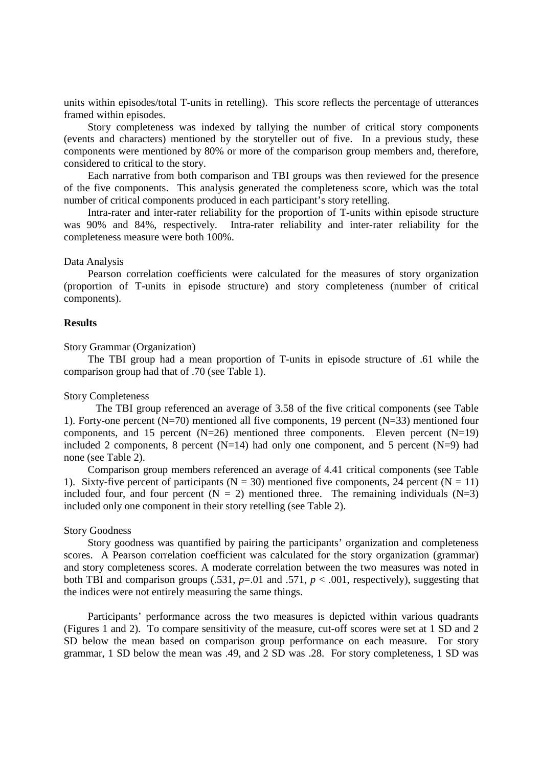units within episodes/total T-units in retelling). This score reflects the percentage of utterances framed within episodes.

Story completeness was indexed by tallying the number of critical story components (events and characters) mentioned by the storyteller out of five. In a previous study, these components were mentioned by 80% or more of the comparison group members and, therefore, considered to critical to the story.

Each narrative from both comparison and TBI groups was then reviewed for the presence of the five components. This analysis generated the completeness score, which was the total number of critical components produced in each participant's story retelling.

Intra-rater and inter-rater reliability for the proportion of T-units within episode structure was 90% and 84%, respectively. Intra-rater reliability and inter-rater reliability for the completeness measure were both 100%.

#### Data Analysis

 Pearson correlation coefficients were calculated for the measures of story organization (proportion of T-units in episode structure) and story completeness (number of critical components).

### **Results**

#### Story Grammar (Organization)

 The TBI group had a mean proportion of T-units in episode structure of .61 while the comparison group had that of .70 (see Table 1).

### Story Completeness

 The TBI group referenced an average of 3.58 of the five critical components (see Table 1). Forty-one percent (N=70) mentioned all five components, 19 percent (N=33) mentioned four components, and 15 percent  $(N=26)$  mentioned three components. Eleven percent  $(N=19)$ included 2 components, 8 percent  $(N=14)$  had only one component, and 5 percent  $(N=9)$  had none (see Table 2).

Comparison group members referenced an average of 4.41 critical components (see Table 1). Sixty-five percent of participants ( $N = 30$ ) mentioned five components, 24 percent ( $N = 11$ ) included four, and four percent  $(N = 2)$  mentioned three. The remaining individuals  $(N=3)$ included only one component in their story retelling (see Table 2).

## Story Goodness

 Story goodness was quantified by pairing the participants' organization and completeness scores. A Pearson correlation coefficient was calculated for the story organization (grammar) and story completeness scores. A moderate correlation between the two measures was noted in both TBI and comparison groups (.531,  $p=0$ ) and .571,  $p < 0.001$ , respectively), suggesting that the indices were not entirely measuring the same things.

Participants' performance across the two measures is depicted within various quadrants (Figures 1 and 2). To compare sensitivity of the measure, cut-off scores were set at 1 SD and 2 SD below the mean based on comparison group performance on each measure. For story grammar, 1 SD below the mean was .49, and 2 SD was .28. For story completeness, 1 SD was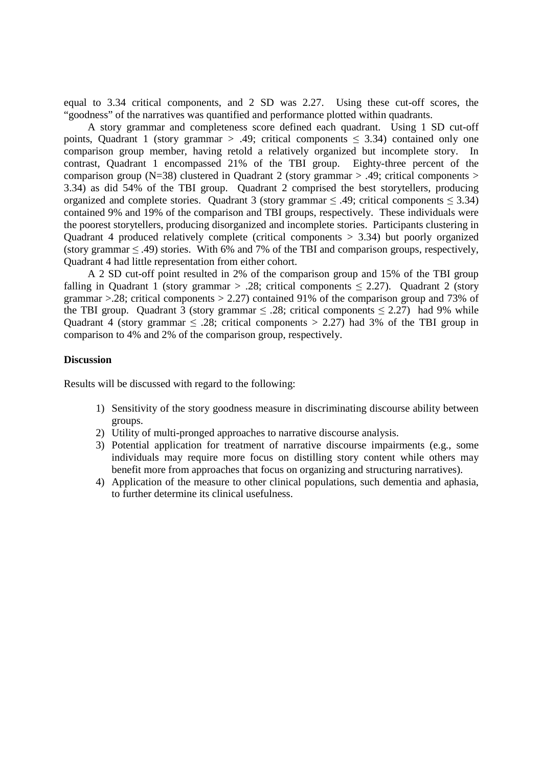equal to 3.34 critical components, and 2 SD was 2.27. Using these cut-off scores, the "goodness" of the narratives was quantified and performance plotted within quadrants.

A story grammar and completeness score defined each quadrant. Using 1 SD cut-off points, Quadrant 1 (story grammar > .49; critical components  $\leq$  3.34) contained only one comparison group member, having retold a relatively organized but incomplete story. In contrast, Quadrant 1 encompassed 21% of the TBI group. Eighty-three percent of the comparison group (N=38) clustered in Quadrant 2 (story grammar > .49; critical components > 3.34) as did 54% of the TBI group. Quadrant 2 comprised the best storytellers, producing organized and complete stories. Quadrant 3 (story grammar  $\leq$  .49; critical components  $\leq$  3.34) contained 9% and 19% of the comparison and TBI groups, respectively. These individuals were the poorest storytellers, producing disorganized and incomplete stories. Participants clustering in Quadrant 4 produced relatively complete (critical components  $> 3.34$ ) but poorly organized (story grammar  $\leq$  .49) stories. With 6% and 7% of the TBI and comparison groups, respectively, Quadrant 4 had little representation from either cohort.

A 2 SD cut-off point resulted in 2% of the comparison group and 15% of the TBI group falling in Quadrant 1 (story grammar > .28; critical components  $\leq$  2.27). Quadrant 2 (story grammar >.28; critical components > 2.27) contained 91% of the comparison group and 73% of the TBI group. Quadrant 3 (story grammar  $\leq$  .28; critical components  $\leq$  2.27) had 9% while Quadrant 4 (story grammar  $\leq$  .28; critical components  $>$  2.27) had 3% of the TBI group in comparison to 4% and 2% of the comparison group, respectively.

## **Discussion**

Results will be discussed with regard to the following:

- 1) Sensitivity of the story goodness measure in discriminating discourse ability between groups.
- 2) Utility of multi-pronged approaches to narrative discourse analysis.
- 3) Potential application for treatment of narrative discourse impairments (e.g., some individuals may require more focus on distilling story content while others may benefit more from approaches that focus on organizing and structuring narratives).
- 4) Application of the measure to other clinical populations, such dementia and aphasia, to further determine its clinical usefulness.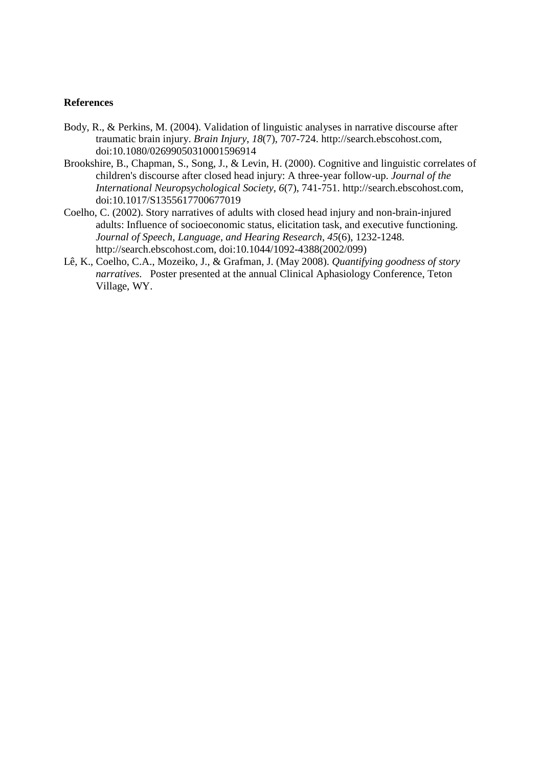# **References**

- Body, R., & Perkins, M. (2004). Validation of linguistic analyses in narrative discourse after traumatic brain injury. *Brain Injury*, *18*(7), 707-724. http://search.ebscohost.com, doi:10.1080/02699050310001596914
- Brookshire, B., Chapman, S., Song, J., & Levin, H. (2000). Cognitive and linguistic correlates of children's discourse after closed head injury: A three-year follow-up. *Journal of the International Neuropsychological Society*, *6*(7), 741-751. http://search.ebscohost.com, doi:10.1017/S1355617700677019
- Coelho, C. (2002). Story narratives of adults with closed head injury and non-brain-injured adults: Influence of socioeconomic status, elicitation task, and executive functioning. *Journal of Speech, Language, and Hearing Research*, *45*(6), 1232-1248. http://search.ebscohost.com, doi:10.1044/1092-4388(2002/099)
- Lê, K., Coelho, C.A., Mozeiko, J., & Grafman, J. (May 2008). *Quantifying goodness of story narratives.* Poster presented at the annual Clinical Aphasiology Conference, Teton Village, WY.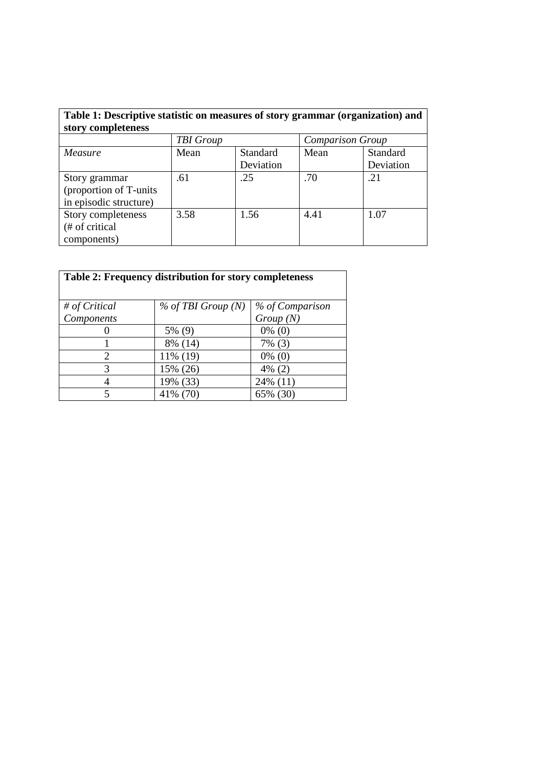| Table 1: Descriptive statistic on measures of story grammar (organization) and |                  |                 |                         |           |  |
|--------------------------------------------------------------------------------|------------------|-----------------|-------------------------|-----------|--|
| story completeness                                                             |                  |                 |                         |           |  |
|                                                                                | <b>TBI</b> Group |                 | <b>Comparison Group</b> |           |  |
| Measure                                                                        | Mean             | <b>Standard</b> | Mean                    | Standard  |  |
|                                                                                |                  | Deviation       |                         | Deviation |  |
| Story grammar                                                                  | .61              | .25             | .70                     | .21       |  |
| (proportion of T-units                                                         |                  |                 |                         |           |  |
| in episodic structure)                                                         |                  |                 |                         |           |  |
| Story completeness                                                             | 3.58             | 1.56            | 4.41                    | 1.07      |  |
| (# of critical                                                                 |                  |                 |                         |           |  |
| components)                                                                    |                  |                 |                         |           |  |

| Table 2: Frequency distribution for story completeness |                      |                 |  |  |
|--------------------------------------------------------|----------------------|-----------------|--|--|
| # of Critical                                          | $%$ of TBI Group (N) | % of Comparison |  |  |
| Components                                             |                      | Group(N)        |  |  |
|                                                        | 5% (9)               | $0\%$ (0)       |  |  |
|                                                        | 8% (14)              | $7\%$ (3)       |  |  |
| $\overline{c}$                                         | 11% (19)             | $0\%$ (0)       |  |  |
| 3                                                      | 15% (26)             | $4\%$ (2)       |  |  |
| 4                                                      | 19% (33)             | 24% (11)        |  |  |
| 5                                                      | 41% (70)             | 65% (30)        |  |  |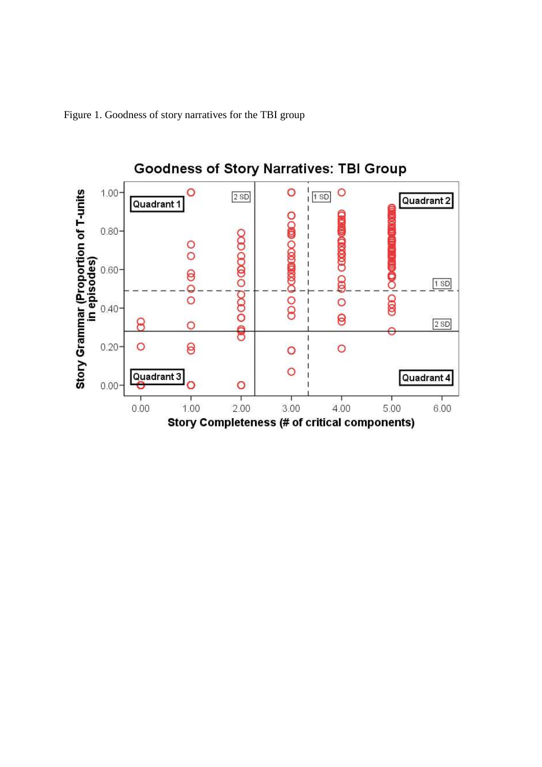Figure 1. Goodness of story narratives for the TBI group